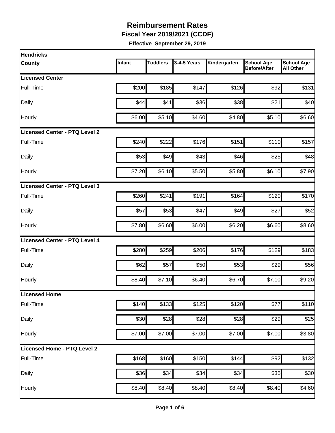**Fiscal Year 2019/2021 (CCDF)** 

| <b>Hendricks</b>                     |        |                 |                  |              |                                          |                                       |
|--------------------------------------|--------|-----------------|------------------|--------------|------------------------------------------|---------------------------------------|
| <b>County</b>                        | Infant | <b>Toddlers</b> | 3-4-5 Years      | Kindergarten | <b>School Age</b><br><b>Before/After</b> | <b>School Age</b><br><b>All Other</b> |
| <b>Licensed Center</b>               |        |                 |                  |              |                                          |                                       |
| Full-Time                            | \$200  | \$185           | \$147            | \$126        | \$92                                     | \$131                                 |
| Daily                                | \$44   | \$41]           | \$36             | \$38         | \$21                                     | \$40                                  |
| Hourly                               | \$6.00 | \$5.10          | \$4.60           | \$4.80       | \$5.10                                   | \$6.60                                |
| <b>Licensed Center - PTQ Level 2</b> |        |                 |                  |              |                                          |                                       |
| Full-Time                            | \$240  | \$222           | \$176            | \$151        | \$110                                    | \$157                                 |
| Daily                                | \$53   | \$49            | \$43             | \$46         | \$25                                     | \$48                                  |
| Hourly                               | \$7.20 | \$6.10          | \$5.50           | \$5.80       | \$6.10                                   | \$7.90                                |
| Licensed Center - PTQ Level 3        |        |                 |                  |              |                                          |                                       |
| Full-Time                            | \$260  | \$241           | \$191            | \$164        | \$120                                    | \$170                                 |
| Daily                                | \$57   | \$53            | \$47             | \$49         | \$27                                     | \$52                                  |
| Hourly                               | \$7.80 | \$6.60          | \$6.00           | \$6.20       | \$6.60                                   | \$8.60                                |
| Licensed Center - PTQ Level 4        |        |                 |                  |              |                                          |                                       |
| Full-Time                            | \$280  | \$259           | \$206            | \$176        | \$129                                    | \$183                                 |
| Daily                                | \$62   | \$57            | \$50             | \$53         | \$29                                     | \$56                                  |
| Hourly                               | \$8.40 | \$7.10          | \$6.40           | \$6.70       | \$7.10                                   | \$9.20                                |
| Licensed Home                        |        |                 |                  |              |                                          |                                       |
| Full-Time                            | \$140  | \$133           | \$125            | \$120        | \$77                                     | \$110                                 |
| Daily                                | \$30   | \$28            | \$28             | \$28         | $\overline{$}29$                         | \$25                                  |
| Hourly                               | \$7.00 | \$7.00          | \$7.00           | \$7.00       | $\overline{$}7.00$                       | \$3.80                                |
| Licensed Home - PTQ Level 2          |        |                 |                  |              |                                          |                                       |
| Full-Time                            | \$168  | \$160           | \$150            | \$144        | \$92                                     | \$132                                 |
| Daily                                | \$36   | \$34            | $\overline{$}34$ | \$34         | \$35                                     | $\overline{$}30$                      |
| Hourly                               | \$8.40 | \$8.40          | \$8.40           | \$8.40       | \$8.40                                   | \$4.60                                |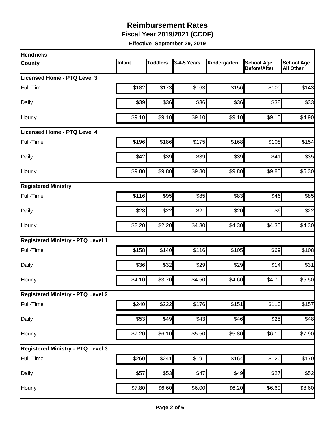**Fiscal Year 2019/2021 (CCDF)** 

| <b>Hendricks</b>                         |        |                   |             |              |                                          |                                       |
|------------------------------------------|--------|-------------------|-------------|--------------|------------------------------------------|---------------------------------------|
| <b>County</b>                            | Infant | <b>Toddlers</b>   | 3-4-5 Years | Kindergarten | <b>School Age</b><br><b>Before/After</b> | <b>School Age</b><br><b>All Other</b> |
| Licensed Home - PTQ Level 3              |        |                   |             |              |                                          |                                       |
| Full-Time                                | \$182  | \$173             | \$163       | \$156        | \$100                                    | \$143                                 |
| Daily                                    | \$39   | \$36              | \$36        | \$36         | \$38                                     | \$33                                  |
| Hourly                                   | \$9.10 | \$9.10            | \$9.10      | \$9.10       | \$9.10                                   | \$4.90                                |
| <b>Licensed Home - PTQ Level 4</b>       |        |                   |             |              |                                          |                                       |
| Full-Time                                | \$196  | \$186             | \$175       | \$168        | \$108                                    | \$154                                 |
| Daily                                    | \$42   | \$39              | \$39        | \$39         | \$41                                     | \$35                                  |
| Hourly                                   | \$9.80 | \$9.80            | \$9.80      | \$9.80       | \$9.80                                   | \$5.30                                |
| <b>Registered Ministry</b>               |        |                   |             |              |                                          |                                       |
| Full-Time                                | \$116  | \$95              | \$85        | \$83         | \$46                                     | \$85                                  |
| Daily                                    | \$28   | \$22              | \$21        | \$20         | \$6                                      | \$22                                  |
| Hourly                                   | \$2.20 | \$2.20            | \$4.30      | \$4.30       | \$4.30                                   | \$4.30                                |
| <b>Registered Ministry - PTQ Level 1</b> |        |                   |             |              |                                          |                                       |
| Full-Time                                | \$158  | \$140             | \$116       | \$105        | \$69                                     | \$108                                 |
| Daily                                    | \$36   | \$32              | \$29        | \$29         | \$14                                     | \$31                                  |
| Hourly                                   | \$4.10 | \$3.70            | \$4.50      | \$4.60       | \$4.70                                   | \$5.50                                |
| <b>Registered Ministry - PTQ Level 2</b> |        |                   |             |              |                                          |                                       |
| Full-Time                                | \$240  | \$222             | \$176       | \$151        | \$110                                    | \$157                                 |
| Daily                                    | \$53   | \$49              | \$43        | \$46         | \$25                                     | \$48                                  |
| Hourly                                   | \$7.20 | \$6.10            | \$5.50      | \$5.80       | \$6.10                                   | \$7.90                                |
| <b>Registered Ministry - PTQ Level 3</b> |        |                   |             |              |                                          |                                       |
| Full-Time                                | \$260  | \$241             | \$191       | \$164        | \$120                                    | \$170                                 |
| Daily                                    | \$57   | $\overline{\$}53$ | \$47        | \$49         | \$27                                     | \$52                                  |
| Hourly                                   | \$7.80 | \$6.60            | \$6.00      | \$6.20       | \$6.60                                   | \$8.60                                |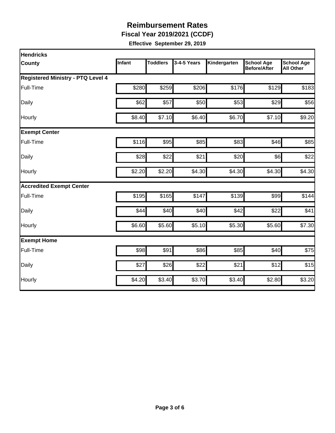**Fiscal Year 2019/2021 (CCDF)** 

| <b>Hendricks</b>                         |               |                 |             |                  |                                   |                                       |
|------------------------------------------|---------------|-----------------|-------------|------------------|-----------------------------------|---------------------------------------|
| <b>County</b>                            | <b>Infant</b> | <b>Toddlers</b> | 3-4-5 Years | Kindergarten     | <b>School Age</b><br>Before/After | <b>School Age</b><br><b>All Other</b> |
| <b>Registered Ministry - PTQ Level 4</b> |               |                 |             |                  |                                   |                                       |
| Full-Time                                | \$280         | \$259           | \$206       | \$176            | \$129                             | \$183                                 |
| Daily                                    | \$62          | \$57            | \$50        | \$53             | \$29                              | \$56                                  |
| Hourly                                   | \$8.40        | \$7.10          | \$6.40      | \$6.70           | \$7.10                            | \$9.20                                |
| <b>Exempt Center</b>                     |               |                 |             |                  |                                   |                                       |
| Full-Time                                | \$116         | \$95            | \$85        | \$83             | \$46                              | \$85                                  |
| Daily                                    | \$28          | \$22            | \$21        | \$20             | \$6                               | \$22                                  |
| Hourly                                   | \$2.20        | \$2.20          | \$4.30      | \$4.30           | \$4.30                            | \$4.30                                |
| <b>Accredited Exempt Center</b>          |               |                 |             |                  |                                   |                                       |
| Full-Time                                | \$195         | \$165           | \$147       | \$139            | \$99                              | \$144                                 |
| Daily                                    | \$44          | \$40            | \$40        | \$42             | \$22                              | \$41                                  |
| Hourly                                   | \$6.60        | \$5.60          | \$5.10      | \$5.30           | \$5.60                            | \$7.30                                |
| <b>Exempt Home</b>                       |               |                 |             |                  |                                   |                                       |
| Full-Time                                | \$98          | \$91            | \$86        | $\overline{$85}$ | \$40                              | \$75                                  |
| Daily                                    | \$27          | \$26            | \$22        | \$21             | \$12                              | \$15                                  |
| Hourly                                   | \$4.20        | \$3.40          | \$3.70      | \$3.40           | \$2.80                            | \$3.20                                |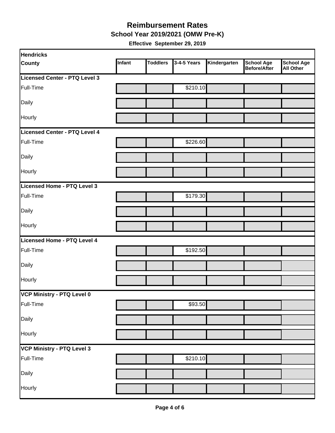#### **Reimbursement Rates School Year 2019/2021 (OMW Pre-K)**

| <b>Hendricks</b>                  |        |                 |             |              |                                          |                                       |
|-----------------------------------|--------|-----------------|-------------|--------------|------------------------------------------|---------------------------------------|
| <b>County</b>                     | Infant | <b>Toddlers</b> | 3-4-5 Years | Kindergarten | <b>School Age</b><br><b>Before/After</b> | <b>School Age</b><br><b>All Other</b> |
| Licensed Center - PTQ Level 3     |        |                 |             |              |                                          |                                       |
| Full-Time                         |        |                 | \$210.10    |              |                                          |                                       |
| Daily                             |        |                 |             |              |                                          |                                       |
| Hourly                            |        |                 |             |              |                                          |                                       |
| Licensed Center - PTQ Level 4     |        |                 |             |              |                                          |                                       |
| Full-Time                         |        |                 | \$226.60    |              |                                          |                                       |
| Daily                             |        |                 |             |              |                                          |                                       |
| Hourly                            |        |                 |             |              |                                          |                                       |
| Licensed Home - PTQ Level 3       |        |                 |             |              |                                          |                                       |
| Full-Time                         |        |                 | \$179.30    |              |                                          |                                       |
| Daily                             |        |                 |             |              |                                          |                                       |
| Hourly                            |        |                 |             |              |                                          |                                       |
| Licensed Home - PTQ Level 4       |        |                 |             |              |                                          |                                       |
| Full-Time                         |        |                 | \$192.50    |              |                                          |                                       |
| Daily                             |        |                 |             |              |                                          |                                       |
| Hourly                            |        |                 |             |              |                                          |                                       |
| VCP Ministry - PTQ Level 0        |        |                 |             |              |                                          |                                       |
| Full-Time                         |        |                 | \$93.50     |              |                                          |                                       |
| Daily                             |        |                 |             |              |                                          |                                       |
| Hourly                            |        |                 |             |              |                                          |                                       |
| <b>VCP Ministry - PTQ Level 3</b> |        |                 |             |              |                                          |                                       |
| Full-Time                         |        |                 | \$210.10    |              |                                          |                                       |
| Daily                             |        |                 |             |              |                                          |                                       |
| Hourly                            |        |                 |             |              |                                          |                                       |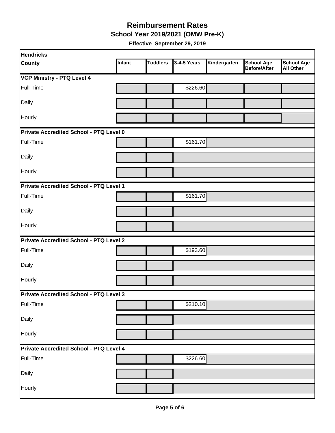**School Year 2019/2021 (OMW Pre-K)** 

| <b>Hendricks</b>                               |               |                 |             |              |                                   |                                       |
|------------------------------------------------|---------------|-----------------|-------------|--------------|-----------------------------------|---------------------------------------|
| County                                         | <b>Infant</b> | <b>Toddlers</b> | 3-4-5 Years | Kindergarten | <b>School Age</b><br>Before/After | <b>School Age</b><br><b>All Other</b> |
| <b>VCP Ministry - PTQ Level 4</b>              |               |                 |             |              |                                   |                                       |
| Full-Time                                      |               |                 | \$226.60    |              |                                   |                                       |
| Daily                                          |               |                 |             |              |                                   |                                       |
| Hourly                                         |               |                 |             |              |                                   |                                       |
| Private Accredited School - PTQ Level 0        |               |                 |             |              |                                   |                                       |
| Full-Time                                      |               |                 | \$161.70    |              |                                   |                                       |
| Daily                                          |               |                 |             |              |                                   |                                       |
| Hourly                                         |               |                 |             |              |                                   |                                       |
| Private Accredited School - PTQ Level 1        |               |                 |             |              |                                   |                                       |
| Full-Time                                      |               |                 | \$161.70    |              |                                   |                                       |
| Daily                                          |               |                 |             |              |                                   |                                       |
| <b>Hourly</b>                                  |               |                 |             |              |                                   |                                       |
| Private Accredited School - PTQ Level 2        |               |                 |             |              |                                   |                                       |
| Full-Time                                      |               |                 | \$193.60    |              |                                   |                                       |
| Daily                                          |               |                 |             |              |                                   |                                       |
| Hourly                                         |               |                 |             |              |                                   |                                       |
| <b>Private Accredited School - PTQ Level 3</b> |               |                 |             |              |                                   |                                       |
| Full-Time                                      |               |                 | \$210.10    |              |                                   |                                       |
| Daily                                          |               |                 |             |              |                                   |                                       |
| Hourly                                         |               |                 |             |              |                                   |                                       |
| Private Accredited School - PTQ Level 4        |               |                 |             |              |                                   |                                       |
| Full-Time                                      |               |                 | \$226.60    |              |                                   |                                       |
| Daily                                          |               |                 |             |              |                                   |                                       |
| Hourly                                         |               |                 |             |              |                                   |                                       |